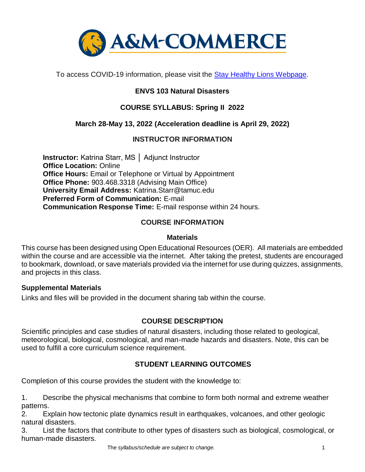

To access COVID-19 information, please visit the **Stay Healthy Lions Webpage**.

# **ENVS 103 Natural Disasters**

# **COURSE SYLLABUS: Spring II 2022**

### **March 28-May 13, 2022 (Acceleration deadline is April 29, 2022)**

#### **INSTRUCTOR INFORMATION**

**Instructor:** Katrina Starr, MS │ Adjunct Instructor **Office Location:** Online **Office Hours:** Email or Telephone or Virtual by Appointment **Office Phone:** 903.468.3318 (Advising Main Office) **University Email Address:** Katrina.Starr@tamuc.edu **Preferred Form of Communication:** E-mail **Communication Response Time:** E-mail response within 24 hours.

# **COURSE INFORMATION**

#### **Materials**

This course has been designed using Open Educational Resources (OER). All materials are embedded within the course and are accessible via the internet. After taking the pretest, students are encouraged to bookmark, download, or save materials provided via the internet for use during quizzes, assignments, and projects in this class.

### **Supplemental Materials**

Links and files will be provided in the document sharing tab within the course.

### **[COURSE DESCRIPTION](http://catalog.tamuc.edu/undergrad/colleges-and-departments/college-of-innovation-design/baas-organizational-leadership/?_ga=2.81546143.928332977.1616426723-584154711.1595512675)**

Scientific principles and case studies of natural disasters, including those related to geological, meteorological, biological, cosmological, and man-made hazards and disasters. Note, this can be used to fulfill a core curriculum science requirement.

### **STUDENT LEARNING OUTCOMES**

Completion of this course provides the student with the knowledge to:

1. Describe the physical mechanisms that combine to form both normal and extreme weather patterns.

2. Explain how tectonic plate dynamics result in earthquakes, volcanoes, and other geologic natural disasters.

3. List the factors that contribute to other types of disasters such as biological, cosmological, or human-made disasters.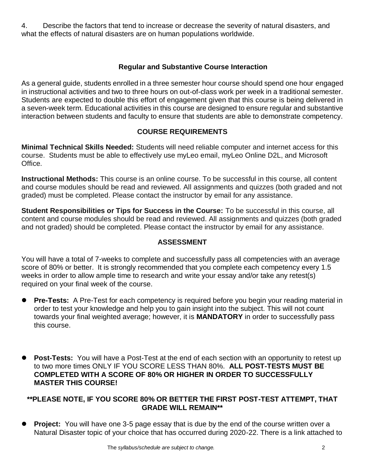4. Describe the factors that tend to increase or decrease the severity of natural disasters, and what the effects of natural disasters are on human populations worldwide.

### **Regular and Substantive Course Interaction**

As a general guide, students enrolled in a three semester hour course should spend one hour engaged in instructional activities and two to three hours on out-of-class work per week in a traditional semester. Students are expected to double this effort of engagement given that this course is being delivered in a seven-week term. Educational activities in this course are designed to ensure regular and substantive interaction between students and faculty to ensure that students are able to demonstrate competency.

# **COURSE REQUIREMENTS**

**Minimal Technical Skills Needed:** Students will need reliable computer and internet access for this course. Students must be able to effectively use myLeo email, myLeo Online D2L, and Microsoft Office.

**Instructional Methods:** This course is an online course. To be successful in this course, all content and course modules should be read and reviewed. All assignments and quizzes (both graded and not graded) must be completed. Please contact the instructor by email for any assistance.

**Student Responsibilities or Tips for Success in the Course:** To be successful in this course, all content and course modules should be read and reviewed. All assignments and quizzes (both graded and not graded) should be completed. Please contact the instructor by email for any assistance.

# **ASSESSMENT**

You will have a total of 7-weeks to complete and successfully pass all competencies with an average score of 80% or better. It is strongly recommended that you complete each competency every 1.5 weeks in order to allow ample time to research and write your essay and/or take any retest(s) required on your final week of the course.

- **Pre-Tests:** A Pre-Test for each competency is required before you begin your reading material in order to test your knowledge and help you to gain insight into the subject. This will not count towards your final weighted average; however, it is **MANDATORY** in order to successfully pass this course.
- **Post-Tests:** You will have a Post-Test at the end of each section with an opportunity to retest up to two more times ONLY IF YOU SCORE LESS THAN 80%. **ALL POST-TESTS MUST BE COMPLETED WITH A SCORE OF 80% OR HIGHER IN ORDER TO SUCCESSFULLY MASTER THIS COURSE!**

**\*\*PLEASE NOTE, IF YOU SCORE 80% OR BETTER THE FIRST POST-TEST ATTEMPT, THAT GRADE WILL REMAIN\*\***

 **Project:** You will have one 3-5 page essay that is due by the end of the course written over a Natural Disaster topic of your choice that has occurred during 2020-22. There is a link attached to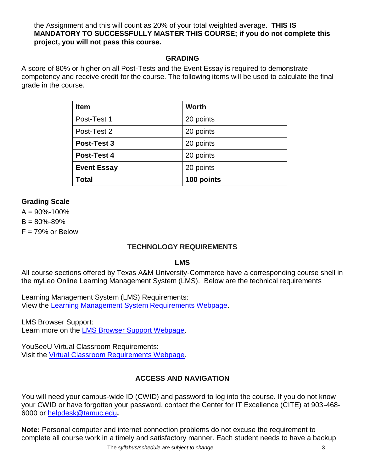the Assignment and this will count as 20% of your total weighted average. **THIS IS MANDATORY TO SUCCESSFULLY MASTER THIS COURSE; if you do not complete this project, you will not pass this course.**

### **GRADING**

A score of 80% or higher on all Post-Tests and the Event Essay is required to demonstrate competency and receive credit for the course. The following items will be used to calculate the final grade in the course.

| <b>Item</b>        | <b>Worth</b> |
|--------------------|--------------|
| Post-Test 1        | 20 points    |
| Post-Test 2        | 20 points    |
| Post-Test 3        | 20 points    |
| Post-Test 4        | 20 points    |
| <b>Event Essay</b> | 20 points    |
| Total              | 100 points   |

# **Grading Scale**

 $A = 90\% - 100\%$  $B = 80\% - 89\%$  $F = 79\%$  or Below

# **TECHNOLOGY REQUIREMENTS**

#### **LMS**

All course sections offered by Texas A&M University-Commerce have a corresponding course shell in the myLeo Online Learning Management System (LMS). Below are the technical requirements

Learning Management System (LMS) Requirements: View the [Learning Management System Requirements Webpage.](https://community.brightspace.com/s/article/Brightspace-Platform-Requirements)

LMS Browser Support: Learn more on the **LMS Browser Support Webpage**.

YouSeeU Virtual Classroom Requirements: Visit the [Virtual Classroom Requirements Webpage.](https://support.youseeu.com/hc/en-us/articles/115007031107-Basic-System-Requirements)

# **ACCESS AND NAVIGATION**

You will need your campus-wide ID (CWID) and password to log into the course. If you do not know your CWID or have forgotten your password, contact the Center for IT Excellence (CITE) at 903-468- 6000 or [helpdesk@tamuc.edu](mailto:helpdesk@tamuc.edu)**.**

**Note:** Personal computer and internet connection problems do not excuse the requirement to complete all course work in a timely and satisfactory manner. Each student needs to have a backup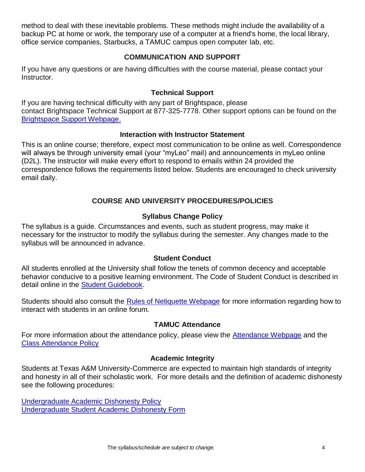method to deal with these inevitable problems. These methods might include the availability of a backup PC at home or work, the temporary use of a computer at a friend's home, the local library, office service companies, Starbucks, a TAMUC campus open computer lab, etc.

#### **COMMUNICATION AND SUPPORT**

If you have any questions or are having difficulties with the course material, please contact your Instructor.

### **Technical Support**

If you are having technical difficulty with any part of Brightspace, please contact Brightspace Technical Support at 877-325-7778. Other support options can be found on the [Brightspace Support Webpage.](https://community.brightspace.com/support/s/contactsupport)

#### **Interaction with Instructor Statement**

This is an online course; therefore, expect most communication to be online as well. Correspondence will always be through university email (your "myLeo" mail) and announcements in myLeo online (D2L). The instructor will make every effort to respond to emails within 24 provided the correspondence follows the requirements listed below. Students are encouraged to check university email daily.

# **COURSE AND UNIVERSITY PROCEDURES/POLICIES**

# **Syllabus Change Policy**

The syllabus is a guide. Circumstances and events, such as student progress, may make it necessary for the instructor to modify the syllabus during the semester. Any changes made to the syllabus will be announced in advance.

#### **Student Conduct**

All students enrolled at the University shall follow the tenets of common decency and acceptable behavior conducive to a positive learning environment. The Code of Student Conduct is described in detail online in the **Student Guidebook**.

Students should also consult the **Rules of Netiquette Webpage** for more information regarding how to interact with students in an online forum.

### **TAMUC Attendance**

For more information about the attendance policy, please view the [Attendance Webpage](http://www.tamuc.edu/admissions/registrar/generalInformation/attendance.aspx) and the Class [Attendance Policy](http://www.tamuc.edu/aboutUs/policiesProceduresStandardsStatements/rulesProcedures/13students/academic/13.99.99.R0.01.pdf)

### **Academic Integrity**

Students at Texas A&M University-Commerce are expected to maintain high standards of integrity and honesty in all of their scholastic work. For more details and the definition of academic dishonesty see the following procedures:

[Undergraduate Academic Dishonesty P](http://www.tamuc.edu/aboutUs/policiesProceduresStandardsStatements/rulesProcedures/13students/undergraduates/13.99.99.R0.03UndergraduateAcademicDishonesty.pdf)olicy [Undergraduate Student Academic Dishonesty Form](http://www.tamuc.edu/aboutUs/policiesProceduresStandardsStatements/rulesProcedures/documents/13.99.99.R0.03UndergraduateStudentAcademicDishonestyForm.pdf)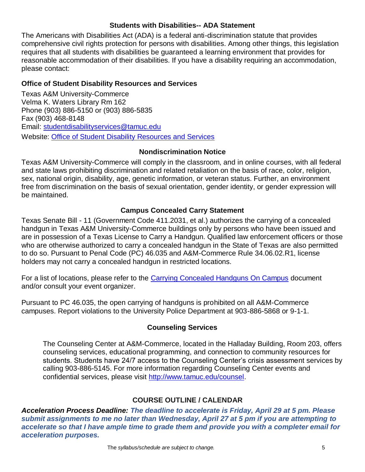#### **Students with Disabilities-- ADA Statement**

The Americans with Disabilities Act (ADA) is a federal anti-discrimination statute that provides comprehensive civil rights protection for persons with disabilities. Among other things, this legislation requires that all students with disabilities be guaranteed a learning environment that provides for reasonable accommodation of their disabilities. If you have a disability requiring an accommodation, please contact:

### **Office of Student Disability Resources and Services**

Texas A&M University-Commerce Velma K. Waters Library Rm 162 Phone (903) 886-5150 or (903) 886-5835 Fax (903) 468-8148 Email: [studentdisabilityservices@tamuc.edu](mailto:studentdisabilityservices@tamuc.edu) Website: [Office of Student Disability Resources and Services](http://www.tamuc.edu/campusLife/campusServices/studentDisabilityResourcesAndServices/)

# **Nondiscrimination Notice**

Texas A&M University-Commerce will comply in the classroom, and in online courses, with all federal and state laws prohibiting discrimination and related retaliation on the basis of race, color, religion, sex, national origin, disability, age, genetic information, or veteran status. Further, an environment free from discrimination on the basis of sexual orientation, gender identity, or gender expression will be maintained.

# **Campus Concealed Carry Statement**

Texas Senate Bill - 11 (Government Code 411.2031, et al.) authorizes the carrying of a concealed handgun in Texas A&M University-Commerce buildings only by persons who have been issued and are in possession of a Texas License to Carry a Handgun. Qualified law enforcement officers or those who are otherwise authorized to carry a concealed handgun in the State of Texas are also permitted to do so. Pursuant to Penal Code (PC) 46.035 and A&M-Commerce Rule 34.06.02.R1, license holders may not carry a concealed handgun in restricted locations.

For a list of locations, please refer to the [Carrying Concealed Handguns On Campus](http://www.tamuc.edu/aboutUs/policiesProceduresStandardsStatements/rulesProcedures/34SafetyOfEmployeesAndStudents/34.06.02.R1.pdf) document and/or consult your event organizer.

Pursuant to PC 46.035, the open carrying of handguns is prohibited on all A&M-Commerce campuses. Report violations to the University Police Department at 903-886-5868 or 9-1-1.

# **Counseling Services**

The Counseling Center at A&M-Commerce, located in the Halladay Building, Room 203, offers counseling services, educational programming, and connection to community resources for students. Students have 24/7 access to the Counseling Center's crisis assessment services by calling 903-886-5145. For more information regarding Counseling Center events and confidential services, please visit [http://www.tamuc.edu/counsel.](https://outlook.tamuc.edu/owa/redir.aspx?C=lrbS7kTm7A3wcy4wrQcmm9b90uemxzdMBpS6zcikS01FvkbHOmPZCA..&URL=http://www.tamuc.edu/counsel)

# **COURSE OUTLINE / CALENDAR**

*Acceleration Process Deadline: The deadline to accelerate is Friday, April 29 at 5 pm. Please submit assignments to me no later than Wednesday, April 27 at 5 pm if you are attempting to accelerate so that I have ample time to grade them and provide you with a completer email for acceleration purposes.*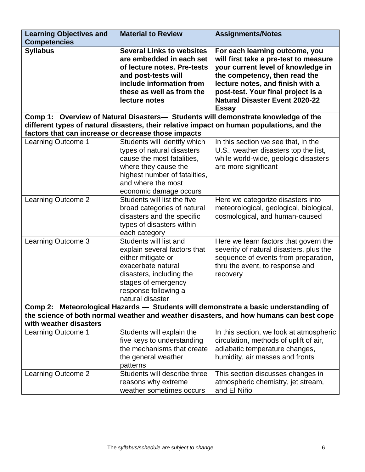| <b>Learning Objectives and</b>                      | <b>Material to Review</b>                             | <b>Assignments/Notes</b>                                                                  |
|-----------------------------------------------------|-------------------------------------------------------|-------------------------------------------------------------------------------------------|
| <b>Competencies</b>                                 | <b>Several Links to websites</b>                      |                                                                                           |
| <b>Syllabus</b>                                     |                                                       | For each learning outcome, you                                                            |
|                                                     | are embedded in each set                              | will first take a pre-test to measure                                                     |
|                                                     | of lecture notes. Pre-tests                           | your current level of knowledge in                                                        |
|                                                     | and post-tests will                                   | the competency, then read the                                                             |
|                                                     | include information from<br>these as well as from the | lecture notes, and finish with a                                                          |
|                                                     | lecture notes                                         | post-test. Your final project is a<br><b>Natural Disaster Event 2020-22</b>               |
|                                                     |                                                       | <b>Essay</b>                                                                              |
|                                                     |                                                       | Comp 1: Overview of Natural Disasters- Students will demonstrate knowledge of the         |
|                                                     |                                                       | different types of natural disasters, their relative impact on human populations, and the |
| factors that can increase or decrease those impacts |                                                       |                                                                                           |
| Learning Outcome 1                                  | Students will identify which                          | In this section we see that, in the                                                       |
|                                                     | types of natural disasters                            | U.S., weather disasters top the list,                                                     |
|                                                     | cause the most fatalities,                            | while world-wide, geologic disasters                                                      |
|                                                     | where they cause the                                  | are more significant                                                                      |
|                                                     | highest number of fatalities,                         |                                                                                           |
|                                                     | and where the most                                    |                                                                                           |
|                                                     | economic damage occurs                                |                                                                                           |
| Learning Outcome 2                                  | Students will list the five                           | Here we categorize disasters into                                                         |
|                                                     | broad categories of natural                           | meteorological, geological, biological,                                                   |
|                                                     | disasters and the specific                            | cosmological, and human-caused                                                            |
|                                                     | types of disasters within                             |                                                                                           |
|                                                     | each category                                         |                                                                                           |
| Learning Outcome 3                                  | Students will list and                                | Here we learn factors that govern the                                                     |
|                                                     | explain several factors that                          | severity of natural disasters, plus the                                                   |
|                                                     | either mitigate or                                    | sequence of events from preparation,                                                      |
|                                                     | exacerbate natural                                    | thru the event, to response and                                                           |
|                                                     | disasters, including the                              | recovery                                                                                  |
|                                                     | stages of emergency                                   |                                                                                           |
|                                                     | response following a                                  |                                                                                           |
|                                                     | natural disaster                                      |                                                                                           |
|                                                     |                                                       | Comp 2: Meteorological Hazards - Students will demonstrate a basic understanding of       |
|                                                     |                                                       | the science of both normal weather and weather disasters, and how humans can best cope    |
| with weather disasters                              |                                                       |                                                                                           |
| Learning Outcome 1                                  | Students will explain the                             | In this section, we look at atmospheric                                                   |
|                                                     | five keys to understanding                            | circulation, methods of uplift of air,                                                    |
|                                                     | the mechanisms that create                            | adiabatic temperature changes,                                                            |
|                                                     | the general weather                                   | humidity, air masses and fronts                                                           |
|                                                     | patterns<br>Students will describe three              |                                                                                           |
| Learning Outcome 2                                  |                                                       | This section discusses changes in                                                         |
|                                                     | reasons why extreme<br>weather sometimes occurs       | atmospheric chemistry, jet stream,<br>and El Niño                                         |
|                                                     |                                                       |                                                                                           |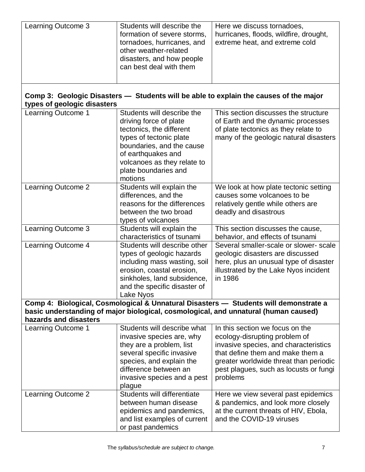| Learning Outcome 3 | Students will describe the<br>formation of severe storms,<br>tornadoes, hurricanes, and<br>other weather-related<br>disasters, and how people<br>can best deal with them | Here we discuss tornadoes,<br>hurricanes, floods, wildfire, drought,<br>extreme heat, and extreme cold |
|--------------------|--------------------------------------------------------------------------------------------------------------------------------------------------------------------------|--------------------------------------------------------------------------------------------------------|
|                    |                                                                                                                                                                          |                                                                                                        |

### **Comp 3: Geologic Disasters — Students will be able to explain the causes of the major types of geologic disasters**

| Learning Outcome 1    | Students will describe the   | This section discusses the structure                                                 |
|-----------------------|------------------------------|--------------------------------------------------------------------------------------|
|                       | driving force of plate       | of Earth and the dynamic processes                                                   |
|                       | tectonics, the different     | of plate tectonics as they relate to                                                 |
|                       | types of tectonic plate      | many of the geologic natural disasters                                               |
|                       | boundaries, and the cause    |                                                                                      |
|                       | of earthquakes and           |                                                                                      |
|                       | volcanoes as they relate to  |                                                                                      |
|                       | plate boundaries and         |                                                                                      |
|                       | motions                      |                                                                                      |
| Learning Outcome 2    | Students will explain the    | We look at how plate tectonic setting                                                |
|                       | differences, and the         | causes some volcanoes to be                                                          |
|                       | reasons for the differences  | relatively gentle while others are                                                   |
|                       | between the two broad        | deadly and disastrous                                                                |
|                       | types of volcanoes           |                                                                                      |
| Learning Outcome 3    | Students will explain the    | This section discusses the cause,                                                    |
|                       | characteristics of tsunami   | behavior, and effects of tsunami                                                     |
| Learning Outcome 4    | Students will describe other | Several smaller-scale or slower-scale                                                |
|                       | types of geologic hazards    | geologic disasters are discussed                                                     |
|                       | including mass wasting, soil | here, plus an unusual type of disaster                                               |
|                       | erosion, coastal erosion,    | illustrated by the Lake Nyos incident                                                |
|                       | sinkholes, land subsidence,  | in 1986                                                                              |
|                       | and the specific disaster of |                                                                                      |
|                       | Lake Nyos                    |                                                                                      |
|                       |                              | Comp 4: Biological, Cosmological & Unnatural Disasters - Students will demonstrate a |
|                       |                              | basic understanding of major biological, cosmological, and unnatural (human caused)  |
| hazards and disasters |                              |                                                                                      |
| Learning Outcome 1    | Students will describe what  | In this section we focus on the                                                      |
|                       | invasive species are, why    | ecology-disrupting problem of                                                        |
|                       | they are a problem, list     | invasive species, and characteristics                                                |
|                       | several specific invasive    | that define them and make them a                                                     |
|                       | species, and explain the     | greater worldwide threat than periodic                                               |
|                       | difference between an        | pest plagues, such as locusts or fungi                                               |
|                       | invasive species and a pest  | problems                                                                             |
|                       | plague                       |                                                                                      |
| Learning Outcome 2    | Students will differentiate  | Here we view several past epidemics                                                  |
|                       | between human disease        | & pandemics, and look more closely                                                   |
|                       | epidemics and pandemics,     | at the current threats of HIV, Ebola,                                                |
|                       | and list examples of current | and the COVID-19 viruses                                                             |
|                       | or past pandemics            |                                                                                      |